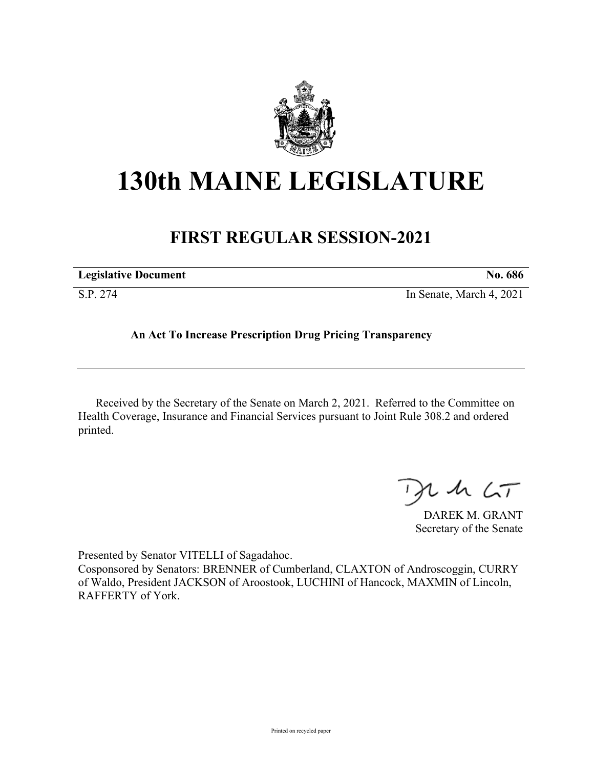

## **130th MAINE LEGISLATURE**

## **FIRST REGULAR SESSION-2021**

| <b>Legislative Document</b> | No. 686                  |
|-----------------------------|--------------------------|
| S.P. 274                    | In Senate, March 4, 2021 |

**An Act To Increase Prescription Drug Pricing Transparency**

Received by the Secretary of the Senate on March 2, 2021. Referred to the Committee on Health Coverage, Insurance and Financial Services pursuant to Joint Rule 308.2 and ordered printed.

 $125$ 

DAREK M. GRANT Secretary of the Senate

Presented by Senator VITELLI of Sagadahoc.

Cosponsored by Senators: BRENNER of Cumberland, CLAXTON of Androscoggin, CURRY of Waldo, President JACKSON of Aroostook, LUCHINI of Hancock, MAXMIN of Lincoln, RAFFERTY of York.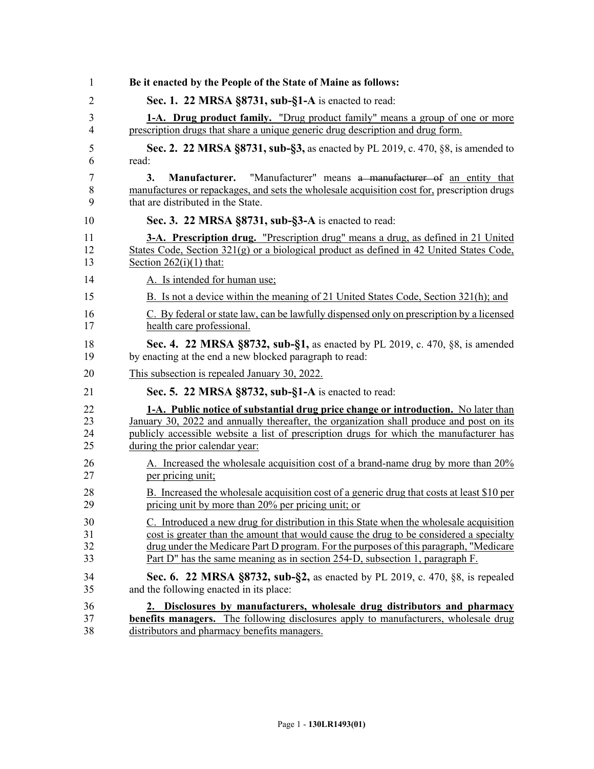| 1           | Be it enacted by the People of the State of Maine as follows:                                                                                                                                                     |
|-------------|-------------------------------------------------------------------------------------------------------------------------------------------------------------------------------------------------------------------|
| 2           | Sec. 1. 22 MRSA §8731, sub-§1-A is enacted to read:                                                                                                                                                               |
| 3           | 1-A. Drug product family. "Drug product family" means a group of one or more                                                                                                                                      |
| 4           | prescription drugs that share a unique generic drug description and drug form.                                                                                                                                    |
| 5           | Sec. 2. 22 MRSA §8731, sub-§3, as enacted by PL 2019, c. 470, §8, is amended to                                                                                                                                   |
| 6           | read:                                                                                                                                                                                                             |
| 7<br>8<br>9 | 3.<br>"Manufacturer" means a manufacturer of an entity that<br>Manufacturer.<br>manufactures or repackages, and sets the wholesale acquisition cost for, prescription drugs<br>that are distributed in the State. |
| 10          | Sec. 3. 22 MRSA §8731, sub-§3-A is enacted to read:                                                                                                                                                               |
| 11          | <b>3-A. Prescription drug.</b> "Prescription drug" means a drug, as defined in 21 United                                                                                                                          |
| 12          | States Code, Section $321(g)$ or a biological product as defined in 42 United States Code,                                                                                                                        |
| 13          | Section $262(i)(1)$ that:                                                                                                                                                                                         |
| 14          | A. Is intended for human use;                                                                                                                                                                                     |
| 15          | B. Is not a device within the meaning of 21 United States Code, Section 321(h); and                                                                                                                               |
| 16          | C. By federal or state law, can be lawfully dispensed only on prescription by a licensed                                                                                                                          |
| 17          | health care professional.                                                                                                                                                                                         |
| 18          | Sec. 4. 22 MRSA §8732, sub-§1, as enacted by PL 2019, c. 470, §8, is amended                                                                                                                                      |
| 19          | by enacting at the end a new blocked paragraph to read:                                                                                                                                                           |
| 20          | This subsection is repealed January 30, 2022.                                                                                                                                                                     |
| 21          | Sec. 5. 22 MRSA §8732, sub-§1-A is enacted to read:                                                                                                                                                               |
| 22          | 1-A. Public notice of substantial drug price change or introduction. No later than                                                                                                                                |
| 23          | January 30, 2022 and annually thereafter, the organization shall produce and post on its                                                                                                                          |
| 24          | publicly accessible website a list of prescription drugs for which the manufacturer has                                                                                                                           |
| 25          | during the prior calendar year:                                                                                                                                                                                   |
| 26          | A. Increased the wholesale acquisition cost of a brand-name drug by more than 20%                                                                                                                                 |
| 27          | per pricing unit;                                                                                                                                                                                                 |
| 28          | B. Increased the wholesale acquisition cost of a generic drug that costs at least \$10 per                                                                                                                        |
| 29          | pricing unit by more than 20% per pricing unit; or                                                                                                                                                                |
| 30          | C. Introduced a new drug for distribution in this State when the wholesale acquisition                                                                                                                            |
| 31          | cost is greater than the amount that would cause the drug to be considered a specialty                                                                                                                            |
| 32          | drug under the Medicare Part D program. For the purposes of this paragraph, "Medicare"                                                                                                                            |
| 33          | Part D" has the same meaning as in section 254-D, subsection 1, paragraph F.                                                                                                                                      |
| 34          | Sec. 6. 22 MRSA §8732, sub-§2, as enacted by PL 2019, c. 470, §8, is repealed                                                                                                                                     |
| 35          | and the following enacted in its place:                                                                                                                                                                           |
| 36          | 2. Disclosures by manufacturers, wholesale drug distributors and pharmacy                                                                                                                                         |
| 37          | <b>benefits managers.</b> The following disclosures apply to manufacturers, wholesale drug                                                                                                                        |
| 38          | distributors and pharmacy benefits managers.                                                                                                                                                                      |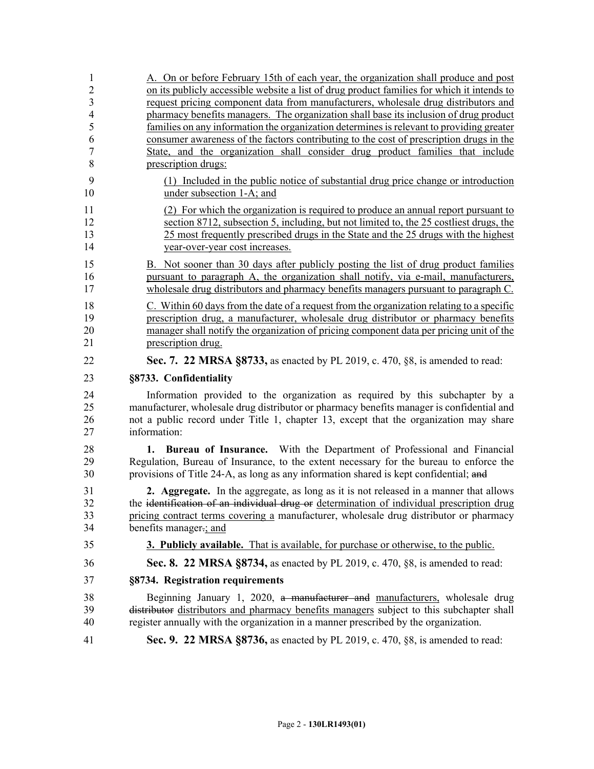| 1                       | A. On or before February 15th of each year, the organization shall produce and post                             |
|-------------------------|-----------------------------------------------------------------------------------------------------------------|
| $\overline{c}$          | on its publicly accessible website a list of drug product families for which it intends to                      |
| $\overline{\mathbf{3}}$ | request pricing component data from manufacturers, wholesale drug distributors and                              |
| $\overline{4}$          | pharmacy benefits managers. The organization shall base its inclusion of drug product                           |
| 5                       | families on any information the organization determines is relevant to providing greater                        |
| 6                       | consumer awareness of the factors contributing to the cost of prescription drugs in the                         |
| $\overline{7}$          | State, and the organization shall consider drug product families that include                                   |
| 8                       | prescription drugs:                                                                                             |
| 9<br>10                 | (1) Included in the public notice of substantial drug price change or introduction<br>under subsection 1-A; and |
| 11                      | (2) For which the organization is required to produce an annual report pursuant to                              |
| 12                      | section 8712, subsection 5, including, but not limited to, the 25 costliest drugs, the                          |
| 13                      | 25 most frequently prescribed drugs in the State and the 25 drugs with the highest                              |
| 14                      | year-over-year cost increases.                                                                                  |
| 15                      | B. Not sooner than 30 days after publicly posting the list of drug product families                             |
| 16                      | pursuant to paragraph A, the organization shall notify, via e-mail, manufacturers,                              |
| 17                      | wholesale drug distributors and pharmacy benefits managers pursuant to paragraph C.                             |
|                         |                                                                                                                 |
| 18                      | C. Within 60 days from the date of a request from the organization relating to a specific                       |
| 19                      | prescription drug, a manufacturer, wholesale drug distributor or pharmacy benefits                              |
| 20                      | manager shall notify the organization of pricing component data per pricing unit of the                         |
| 21                      | prescription drug.                                                                                              |
| 22                      | Sec. 7. 22 MRSA §8733, as enacted by PL 2019, c. 470, §8, is amended to read:                                   |
| 23                      | §8733. Confidentiality                                                                                          |
| 24                      | Information provided to the organization as required by this subchapter by a                                    |
| 25                      | manufacturer, wholesale drug distributor or pharmacy benefits manager is confidential and                       |
| 26                      | not a public record under Title 1, chapter 13, except that the organization may share                           |
| 27                      | information:                                                                                                    |
| 28                      | Bureau of Insurance. With the Department of Professional and Financial<br>1.                                    |
| 29                      | Regulation, Bureau of Insurance, to the extent necessary for the bureau to enforce the                          |
| 30                      | provisions of Title 24-A, as long as any information shared is kept confidential; and                           |
|                         |                                                                                                                 |
| 31                      | 2. Aggregate. In the aggregate, as long as it is not released in a manner that allows                           |
| 32                      | the identification of an individual drug or determination of individual prescription drug                       |
| 33                      | pricing contract terms covering a manufacturer, wholesale drug distributor or pharmacy                          |
| 34                      | benefits manager-; and                                                                                          |
| 35                      | <b>3. Publicly available.</b> That is available, for purchase or otherwise, to the public.                      |
| 36                      | Sec. 8. 22 MRSA §8734, as enacted by PL 2019, c. 470, §8, is amended to read:                                   |
| 37                      | §8734. Registration requirements                                                                                |
| 38                      | Beginning January 1, 2020, a manufacturer and manufacturers, wholesale drug                                     |
| 39                      | distributor distributors and pharmacy benefits managers subject to this subchapter shall                        |
| 40                      | register annually with the organization in a manner prescribed by the organization.                             |
| 41                      | Sec. 9. 22 MRSA §8736, as enacted by PL 2019, c. 470, §8, is amended to read:                                   |
|                         |                                                                                                                 |